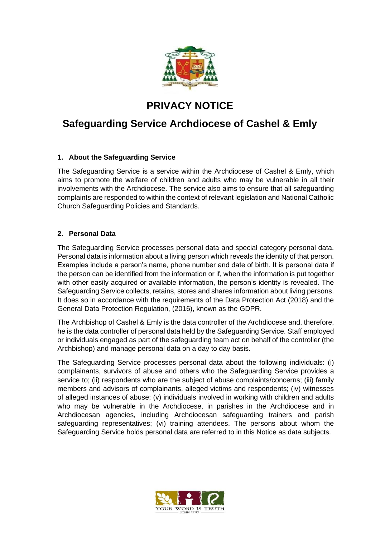

# **PRIVACY NOTICE**

# **Safeguarding Service Archdiocese of Cashel & Emly**

# **1. About the Safeguarding Service**

The Safeguarding Service is a service within the Archdiocese of Cashel & Emly, which aims to promote the welfare of children and adults who may be vulnerable in all their involvements with the Archdiocese. The service also aims to ensure that all safeguarding complaints are responded to within the context of relevant legislation and National Catholic Church Safeguarding Policies and Standards.

# **2. Personal Data**

The Safeguarding Service processes personal data and special category personal data. Personal data is information about a living person which reveals the identity of that person. Examples include a person's name, phone number and date of birth. It is personal data if the person can be identified from the information or if, when the information is put together with other easily acquired or available information, the person's identity is revealed. The Safeguarding Service collects, retains, stores and shares information about living persons. It does so in accordance with the requirements of the Data Protection Act (2018) and the General Data Protection Regulation, (2016), known as the GDPR.

The Archbishop of Cashel & Emly is the data controller of the Archdiocese and, therefore, he is the data controller of personal data held by the Safeguarding Service. Staff employed or individuals engaged as part of the safeguarding team act on behalf of the controller (the Archbishop) and manage personal data on a day to day basis.

The Safeguarding Service processes personal data about the following individuals: (i) complainants, survivors of abuse and others who the Safeguarding Service provides a service to; (ii) respondents who are the subject of abuse complaints/concerns; (iii) family members and advisors of complainants, alleged victims and respondents; (iv) witnesses of alleged instances of abuse; (v) individuals involved in working with children and adults who may be vulnerable in the Archdiocese, in parishes in the Archdiocese and in Archdiocesan agencies, including Archdiocesan safeguarding trainers and parish safeguarding representatives; (vi) training attendees. The persons about whom the Safeguarding Service holds personal data are referred to in this Notice as data subjects.

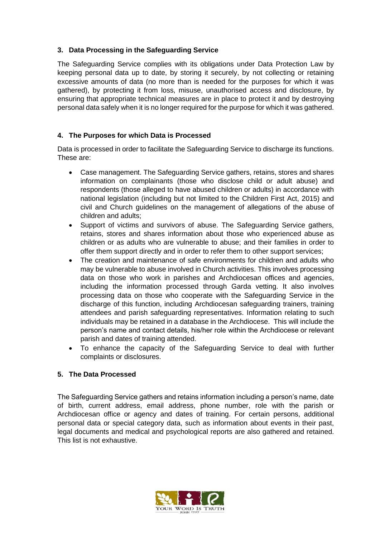#### **3. Data Processing in the Safeguarding Service**

The Safeguarding Service complies with its obligations under Data Protection Law by keeping personal data up to date, by storing it securely, by not collecting or retaining excessive amounts of data (no more than is needed for the purposes for which it was gathered), by protecting it from loss, misuse, unauthorised access and disclosure, by ensuring that appropriate technical measures are in place to protect it and by destroying personal data safely when it is no longer required for the purpose for which it was gathered.

### **4. The Purposes for which Data is Processed**

Data is processed in order to facilitate the Safeguarding Service to discharge its functions. These are:

- Case management. The Safeguarding Service gathers, retains, stores and shares information on complainants (those who disclose child or adult abuse) and respondents (those alleged to have abused children or adults) in accordance with national legislation (including but not limited to the Children First Act, 2015) and civil and Church guidelines on the management of allegations of the abuse of children and adults;
- Support of victims and survivors of abuse. The Safeguarding Service gathers, retains, stores and shares information about those who experienced abuse as children or as adults who are vulnerable to abuse; and their families in order to offer them support directly and in order to refer them to other support services;
- The creation and maintenance of safe environments for children and adults who may be vulnerable to abuse involved in Church activities. This involves processing data on those who work in parishes and Archdiocesan offices and agencies, including the information processed through Garda vetting. It also involves processing data on those who cooperate with the Safeguarding Service in the discharge of this function, including Archdiocesan safeguarding trainers, training attendees and parish safeguarding representatives. Information relating to such individuals may be retained in a database in the Archdiocese. This will include the person's name and contact details, his/her role within the Archdiocese or relevant parish and dates of training attended.
- To enhance the capacity of the Safeguarding Service to deal with further complaints or disclosures.

# **5. The Data Processed**

The Safeguarding Service gathers and retains information including a person's name, date of birth, current address, email address, phone number, role with the parish or Archdiocesan office or agency and dates of training. For certain persons, additional personal data or special category data, such as information about events in their past, legal documents and medical and psychological reports are also gathered and retained. This list is not exhaustive.

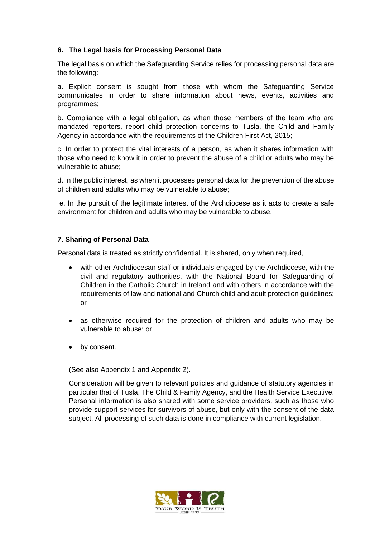#### **6. The Legal basis for Processing Personal Data**

The legal basis on which the Safeguarding Service relies for processing personal data are the following:

a. Explicit consent is sought from those with whom the Safeguarding Service communicates in order to share information about news, events, activities and programmes;

b. Compliance with a legal obligation, as when those members of the team who are mandated reporters, report child protection concerns to Tusla, the Child and Family Agency in accordance with the requirements of the Children First Act, 2015;

c. In order to protect the vital interests of a person, as when it shares information with those who need to know it in order to prevent the abuse of a child or adults who may be vulnerable to abuse;

d. In the public interest, as when it processes personal data for the prevention of the abuse of children and adults who may be vulnerable to abuse;

e. In the pursuit of the legitimate interest of the Archdiocese as it acts to create a safe environment for children and adults who may be vulnerable to abuse.

#### **7. Sharing of Personal Data**

Personal data is treated as strictly confidential. It is shared, only when required,

- with other Archdiocesan staff or individuals engaged by the Archdiocese, with the civil and regulatory authorities, with the National Board for Safeguarding of Children in the Catholic Church in Ireland and with others in accordance with the requirements of law and national and Church child and adult protection guidelines; or
- as otherwise required for the protection of children and adults who may be vulnerable to abuse; or
- by consent.

(See also Appendix 1 and Appendix 2).

Consideration will be given to relevant policies and guidance of statutory agencies in particular that of Tusla, The Child & Family Agency, and the Health Service Executive. Personal information is also shared with some service providers, such as those who provide support services for survivors of abuse, but only with the consent of the data subject. All processing of such data is done in compliance with current legislation.

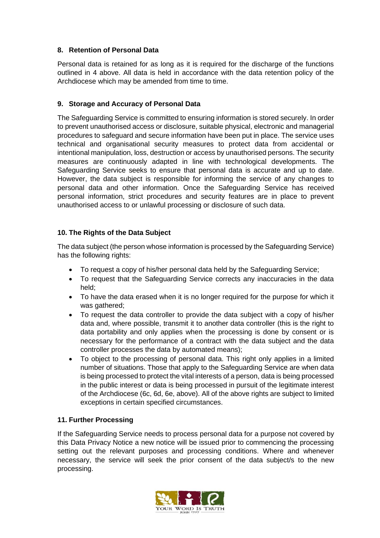### **8. Retention of Personal Data**

Personal data is retained for as long as it is required for the discharge of the functions outlined in 4 above. All data is held in accordance with the data retention policy of the Archdiocese which may be amended from time to time.

### **9. Storage and Accuracy of Personal Data**

The Safeguarding Service is committed to ensuring information is stored securely. In order to prevent unauthorised access or disclosure, suitable physical, electronic and managerial procedures to safeguard and secure information have been put in place. The service uses technical and organisational security measures to protect data from accidental or intentional manipulation, loss, destruction or access by unauthorised persons. The security measures are continuously adapted in line with technological developments. The Safeguarding Service seeks to ensure that personal data is accurate and up to date. However, the data subject is responsible for informing the service of any changes to personal data and other information. Once the Safeguarding Service has received personal information, strict procedures and security features are in place to prevent unauthorised access to or unlawful processing or disclosure of such data.

# **10. The Rights of the Data Subject**

The data subject (the person whose information is processed by the Safeguarding Service) has the following rights:

- To request a copy of his/her personal data held by the Safeguarding Service;
- To request that the Safeguarding Service corrects any inaccuracies in the data held;
- To have the data erased when it is no longer required for the purpose for which it was gathered;
- To request the data controller to provide the data subject with a copy of his/her data and, where possible, transmit it to another data controller (this is the right to data portability and only applies when the processing is done by consent or is necessary for the performance of a contract with the data subject and the data controller processes the data by automated means);
- To object to the processing of personal data. This right only applies in a limited number of situations. Those that apply to the Safeguarding Service are when data is being processed to protect the vital interests of a person, data is being processed in the public interest or data is being processed in pursuit of the legitimate interest of the Archdiocese (6c, 6d, 6e, above). All of the above rights are subject to limited exceptions in certain specified circumstances.

#### **11. Further Processing**

If the Safeguarding Service needs to process personal data for a purpose not covered by this Data Privacy Notice a new notice will be issued prior to commencing the processing setting out the relevant purposes and processing conditions. Where and whenever necessary, the service will seek the prior consent of the data subject/s to the new processing.

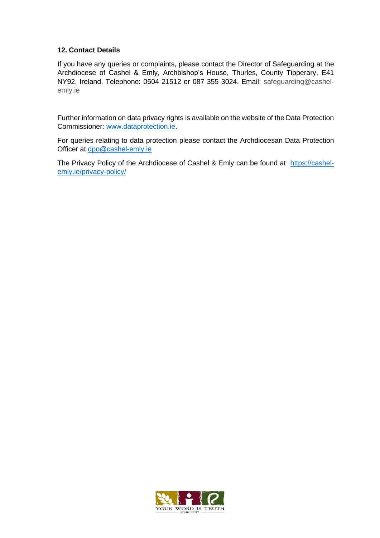#### **12. Contact Details**

If you have any queries or complaints, please contact the Director of Safeguarding at the Archdiocese of Cashel & Emly, Archbishop's House, Thurles, County Tipperary, E41 NY92, Ireland. Telephone: 0504 21512 or 087 355 3024. Email: safeguarding@cashelemly.ie

Further information on data privacy rights is available on the website of the Data Protection Commissioner: [www.dataprotection.ie.](http://www.dataprotection.ie/)

For queries relating to data protection please contact the Archdiocesan Data Protection Officer at [dpo@cashel-emly.ie](mailto:dpo@cashel-emly.ie)

The Privacy Policy of the Archdiocese of Cashel & Emly can be found at [https://cashel](https://cashel-emly.ie/privacy-policy/)[emly.ie/privacy-policy/](https://cashel-emly.ie/privacy-policy/)

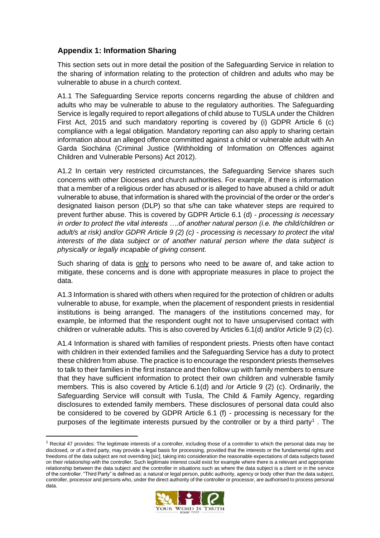# **Appendix 1: Information Sharing**

This section sets out in more detail the position of the Safeguarding Service in relation to the sharing of information relating to the protection of children and adults who may be vulnerable to abuse in a church context.

A1.1 The Safeguarding Service reports concerns regarding the abuse of children and adults who may be vulnerable to abuse to the regulatory authorities. The Safeguarding Service is legally required to report allegations of child abuse to TUSLA under the Children First Act, 2015 and such mandatory reporting is covered by (i) GDPR Article 6 (c) compliance with a legal obligation. Mandatory reporting can also apply to sharing certain information about an alleged offence committed against a child or vulnerable adult with An Garda Siochána (Criminal Justice (Withholding of Information on Offences against Children and Vulnerable Persons) Act 2012).

A1.2 In certain very restricted circumstances, the Safeguarding Service shares such concerns with other Dioceses and church authorities. For example, if there is information that a member of a religious order has abused or is alleged to have abused a child or adult vulnerable to abuse, that information is shared with the provincial of the order or the order's designated liaison person (DLP) so that s/he can take whatever steps are required to prevent further abuse. This is covered by GDPR Article 6.1 (d) - *processing is necessary in order to protect the vital interests ….of another natural person (i.e. the child/children or adult/s at risk) and/or GDPR Article 9 (2) (c) - processing is necessary to protect the vital interests of the data subject or of another natural person where the data subject is physically or legally incapable of giving consent.*

Such sharing of data is only to persons who need to be aware of, and take action to mitigate, these concerns and is done with appropriate measures in place to project the data.

A1.3 Information is shared with others when required for the protection of children or adults vulnerable to abuse, for example, when the placement of respondent priests in residential institutions is being arranged. The managers of the institutions concerned may, for example, be informed that the respondent ought not to have unsupervised contact with children or vulnerable adults. This is also covered by Articles 6.1(d) and/or Article 9 (2) (c).

A1.4 Information is shared with families of respondent priests. Priests often have contact with children in their extended families and the Safeguarding Service has a duty to protect these children from abuse. The practice is to encourage the respondent priests themselves to talk to their families in the first instance and then follow up with family members to ensure that they have sufficient information to protect their own children and vulnerable family members. This is also covered by Article 6.1(d) and /or Article 9 (2) (c). Ordinarily, the Safeguarding Service will consult with Tusla, The Child & Family Agency, regarding disclosures to extended family members. These disclosures of personal data could also be considered to be covered by GDPR Article 6.1 (f) - processing is necessary for the purposes of the legitimate interests pursued by the controller or by a third party<sup>1</sup>. The

 $1$  Recital 47 provides: The legitimate interests of a controller, including those of a controller to which the personal data may be disclosed, or of a third party, may provide a legal basis for processing, provided that the interests or the fundamental rights and freedoms of the data subject are not overriding [sic], taking into consideration the reasonable expectations of data subjects based on their relationship with the controller. Such legitimate interest could exist for example where there is a relevant and appropriate relationship between the data subject and the controller in situations such as where the data subject is a client or in the service of the controller. "Third Party" is defined as: a natural or legal person, public authority, agency or body other than the data subject, controller, processor and persons who, under the direct authority of the controller or processor, are authorised to process personal data.

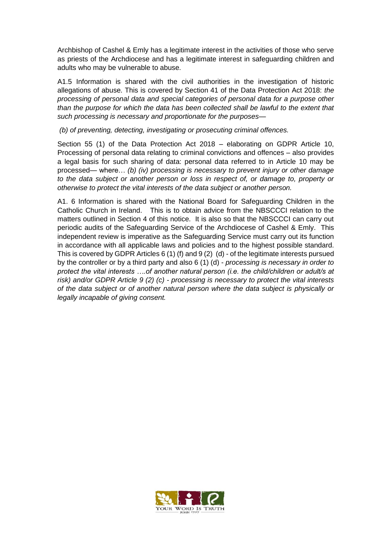Archbishop of Cashel & Emly has a legitimate interest in the activities of those who serve as priests of the Archdiocese and has a legitimate interest in safeguarding children and adults who may be vulnerable to abuse.

A1.5 Information is shared with the civil authorities in the investigation of historic allegations of abuse. This is covered by Section 41 of the Data Protection Act 2018: *the processing of personal data and special categories of personal data for a purpose other than the purpose for which the data has been collected shall be lawful to the extent that such processing is necessary and proportionate for the purposes—*

*(b) of preventing, detecting, investigating or prosecuting criminal offences.* 

Section 55 (1) of the Data Protection Act 2018 – elaborating on GDPR Article 10, Processing of personal data relating to criminal convictions and offences – also provides a legal basis for such sharing of data: personal data referred to in Article 10 may be processed— where… *(b) (iv) processing is necessary to prevent injury or other damage to the data subject or another person or loss in respect of, or damage to, property or otherwise to protect the vital interests of the data subject or another person.*

A1. 6 Information is shared with the National Board for Safeguarding Children in the Catholic Church in Ireland. This is to obtain advice from the NBSCCCI relation to the matters outlined in Section 4 of this notice. It is also so that the NBSCCCI can carry out periodic audits of the Safeguarding Service of the Archdiocese of Cashel & Emly. This independent review is imperative as the Safeguarding Service must carry out its function in accordance with all applicable laws and policies and to the highest possible standard. This is covered by GDPR Articles 6 (1) (f) and 9 (2) (d) - of the legitimate interests pursued by the controller or by a third party and also 6 (1) (d) - *processing is necessary in order to protect the vital interests ….of another natural person (i.e. the child/children or adult/s at risk) and/or GDPR Article 9 (2) (c) - processing is necessary to protect the vital interests of the data subject or of another natural person where the data subject is physically or legally incapable of giving consent.*